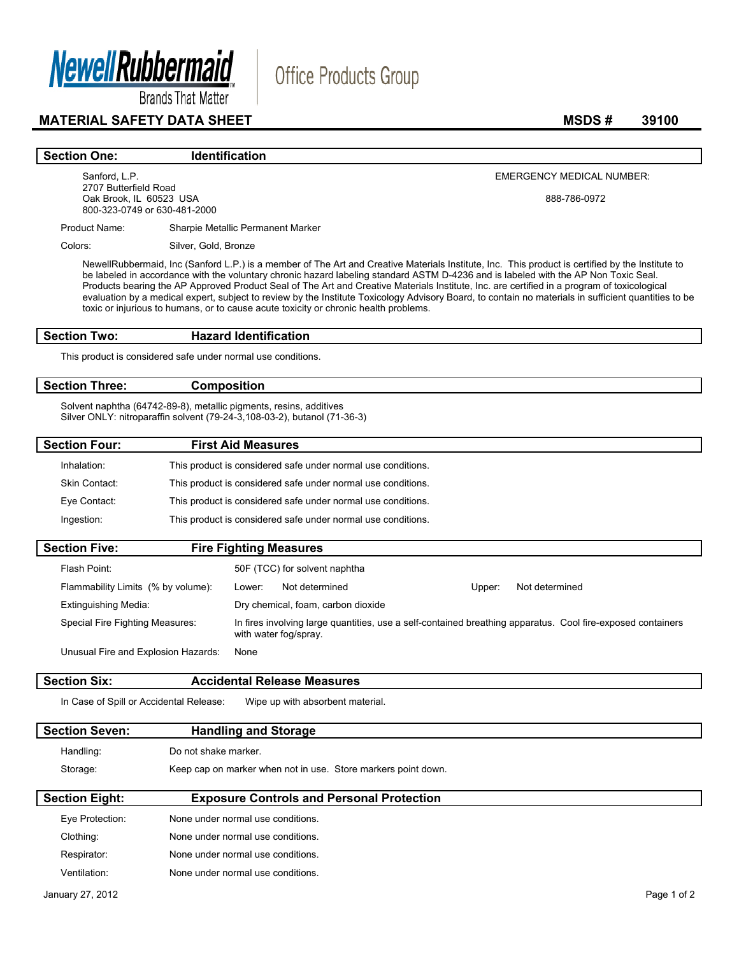

**Brands That Matter** 

# **MATERIAL SAFETY DATA SHEET** MSDS # 39100

## **Section One:** Identification

Sanford, L.P. 2707 Butterfield Road Oak Brook, IL 60523 USA 800-323-0749 or 630-481-2000 EMERGENCY MEDICAL NUMBER:

888-786-0972

Product Name: Sharpie Metallic Permanent Marker

Colors: Silver, Gold, Bronze

NewellRubbermaid, Inc (Sanford L.P.) is a member of The Art and Creative Materials Institute, Inc. This product is certified by the Institute to be labeled in accordance with the voluntary chronic hazard labeling standard ASTM D-4236 and is labeled with the AP Non Toxic Seal. Products bearing the AP Approved Product Seal of The Art and Creative Materials Institute, Inc. are certified in a program of toxicological evaluation by a medical expert, subject to review by the Institute Toxicology Advisory Board, to contain no materials in sufficient quantities to be toxic or injurious to humans, or to cause acute toxicity or chronic health problems.

Office Products Group

## **Section Two: Hazard Identification**

This product is considered safe under normal use conditions.

### **Section Three: Composition**

Solvent naphtha (64742-89-8), metallic pigments, resins, additives Silver ONLY: nitroparaffin solvent (79-24-3,108-03-2), butanol (71-36-3)

| <b>Section Four:</b> | <b>First Aid Measures</b>                                    |  |
|----------------------|--------------------------------------------------------------|--|
| Inhalation:          | This product is considered safe under normal use conditions. |  |
| Skin Contact:        | This product is considered safe under normal use conditions. |  |
| Eye Contact:         | This product is considered safe under normal use conditions. |  |
| Ingestion:           | This product is considered safe under normal use conditions. |  |
|                      |                                                              |  |

| <b>Section Five:</b>                                                                                                                                                    | <b>Fire Fighting Measures</b> |                                    |        |                |  |
|-------------------------------------------------------------------------------------------------------------------------------------------------------------------------|-------------------------------|------------------------------------|--------|----------------|--|
| Flash Point:                                                                                                                                                            |                               | 50F (TCC) for solvent naphtha      |        |                |  |
| Flammability Limits (% by volume):                                                                                                                                      | Lower:                        | Not determined                     | Upper: | Not determined |  |
| Extinguishing Media:                                                                                                                                                    |                               | Dry chemical, foam, carbon dioxide |        |                |  |
| In fires involving large quantities, use a self-contained breathing apparatus. Cool fire-exposed containers<br>Special Fire Fighting Measures:<br>with water fog/spray. |                               |                                    |        |                |  |
| Unusual Fire and Explosion Hazards:                                                                                                                                     | None                          |                                    |        |                |  |

**Section Six: Accidental Release Measures** 

In Case of Spill or Accidental Release: Wipe up with absorbent material.

Respirator: None under normal use conditions. Ventilation: None under normal use conditions.

| <b>Section Seven:</b> | <b>Handling and Storage</b>                                   |  |  |
|-----------------------|---------------------------------------------------------------|--|--|
| Handling:             | Do not shake marker.                                          |  |  |
| Storage:              | Keep cap on marker when not in use. Store markers point down. |  |  |
| <b>Section Eight:</b> | <b>Exposure Controls and Personal Protection</b>              |  |  |
| Eve Protection:       | None under normal use conditions.                             |  |  |
| Clothing:             | None under normal use conditions.                             |  |  |